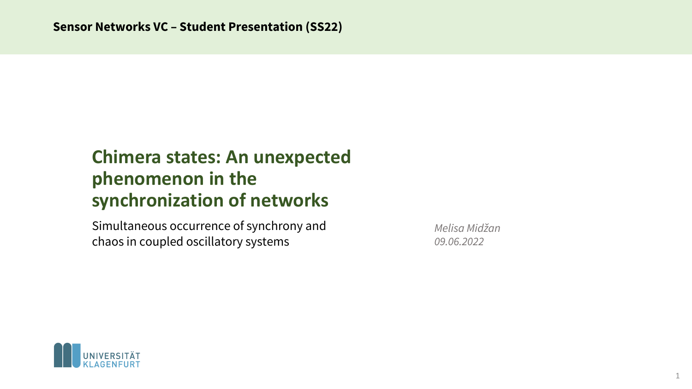# **Chimera states: An unexpected phenomenon in the synchronization of networks**

Simultaneous occurrence of synchrony and chaos in coupled oscillatory systems

*Melisa Midžan 09.06.2022*

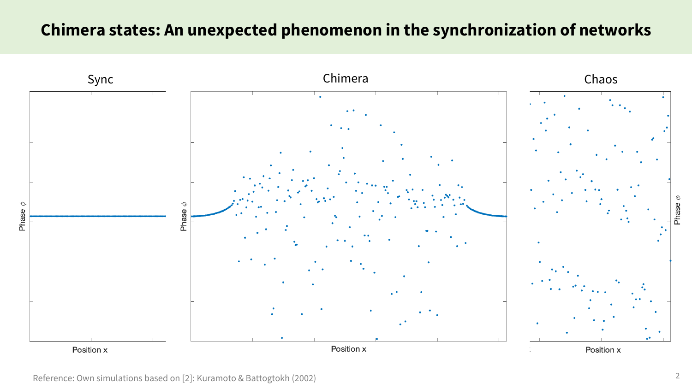# **Chimera states: An unexpected phenomenon in the synchronization of networks**



Reference: Own simulations based on [2]: Kuramoto & Battogtokh (2002)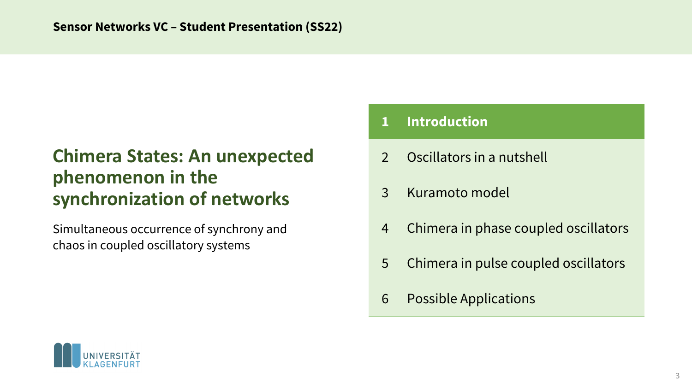# **Chimera States: An unexpected phenomenon in the synchronization of networks**

Simultaneous occurrence of synchrony and chaos in coupled oscillatory systems

# **1 Introduction**

- 2 Oscillators in a nutshell
- 3 Kuramoto model
- 4 Chimera in phase coupled oscillators
- 5 Chimera in pulse coupled oscillators
- 6 Possible Applications

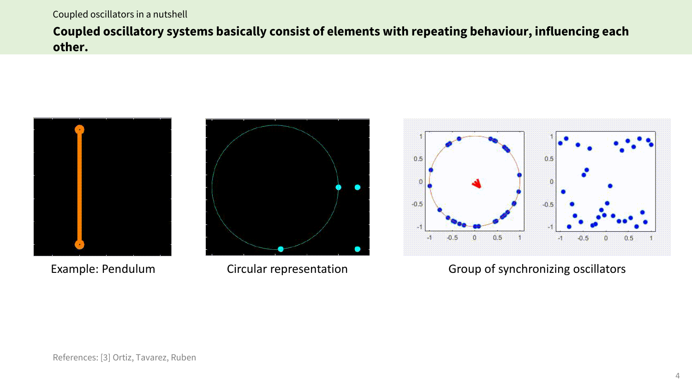#### Coupled oscillators in a nutshell

**Coupled oscillatory systems basically consist of elements with repeating behaviour, influencing each other.** 







### Example: Pendulum Circular representation Group of synchronizing oscillators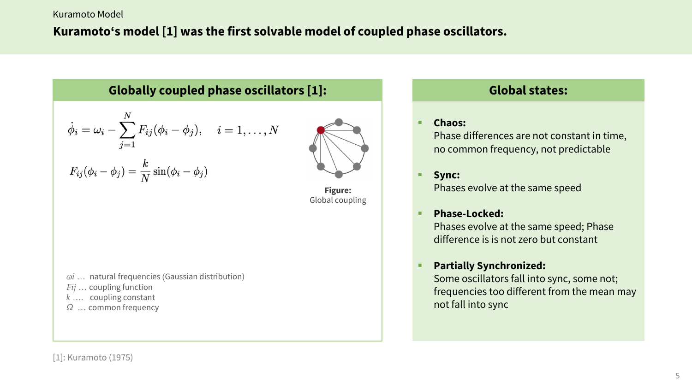Kuramoto Model

# **Kuramoto's model [1] was the first solvable model of coupled phase oscillators.**

**Globally coupled phase oscillators [1]:**

$$
\dot{\phi}_i = \omega_i - \sum_{j=1}^N F_{ij}(\phi_i - \phi_j), \quad i = 1, \dots, N
$$

$$
F_{ij}(\phi_i-\phi_j)=\frac{k}{N}\sin(\phi_i-\phi_j)
$$



**Figure:** Global coupling

- *ωi …* natural frequencies (Gaussian distribution)
- *Fij …* coupling function
- *k ….* coupling constant
- *Ω …* common frequency

## **Global states:**

#### ■ **Chaos:**

Phase differences are not constant in time, no common frequency, not predictable

#### ■ Sync:

Phases evolve at the same speed

#### § **Phase-Locked:**

Phases evolve at the same speed; Phase difference is is not zero but constant

#### § **Partially Synchronized:**

Some oscillators fall into sync, some not; frequencies too different from the mean may not fall into sync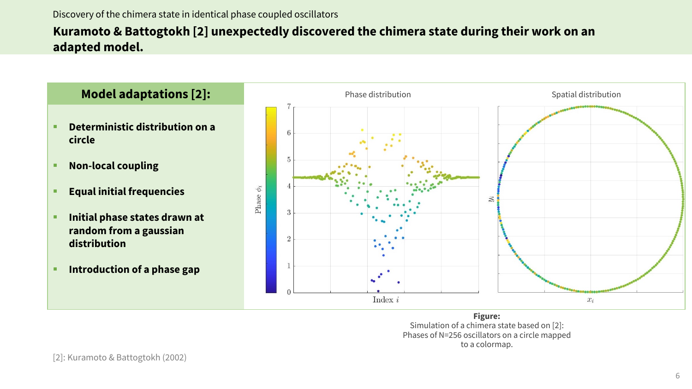#### Discovery of the chimera state in identical phase coupled oscillators

## **Kuramoto & Battogtokh [2] unexpectedly discovered the chimera state during their work on an adapted model.**



**Figure:** Simulation of a chimera state based on [2]: Phases of N=256 oscillators on a circle mapped to a colormap.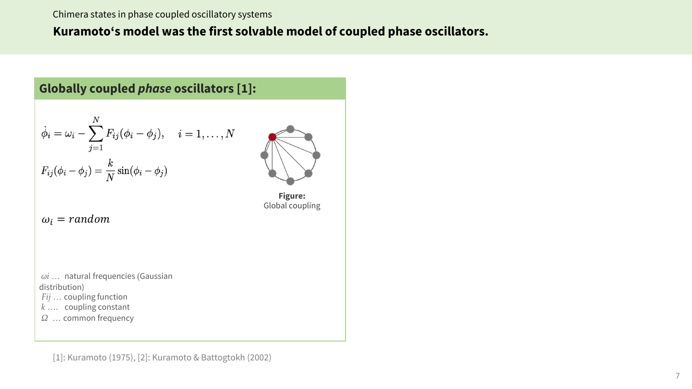#### Chimera states in phase coupled oscillatory systems

### **Kuramoto's model was the first solvable model of coupled phase oscillators.**

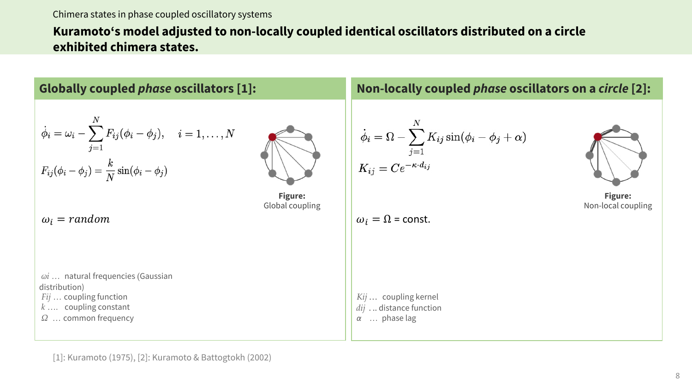#### Chimera states in phase coupled oscillatory systems

## **Kuramoto's model adjusted to non-locally coupled identical oscillators distributed on a circle exhibited chimera states.**

| <b>Globally coupled <i>phase</i></b> oscillators [1]:                                                                                                  | Non-locally coupled <i>phase</i> oscillators on a circle [2]:                                                                                  |
|--------------------------------------------------------------------------------------------------------------------------------------------------------|------------------------------------------------------------------------------------------------------------------------------------------------|
| $\dot{\phi}_i = \omega_i - \sum_{j=1}^N F_{ij} (\phi_i - \phi_j), \quad i=1,\ldots,N$<br>$F_{ij}(\phi_i - \phi_j) = \frac{k}{N} \sin(\phi_i - \phi_j)$ | $\begin{split} \dot{\phi}_i &= \Omega - \sum_{j=1}^N K_{ij} \sin(\phi_i - \phi_j + \alpha) \ K_{ij} &= C e^{-\kappa \cdot d_{ij}} \end{split}$ |
| Figure:<br>Global coupling<br>$\omega_i$ = random                                                                                                      | <b>Figure:</b><br>Non-local coupling<br>$\omega_i = \Omega$ = const.                                                                           |
| $\omega i$ natural frequencies (Gaussian<br>distribution)<br>$Fij$ coupling function<br>$k$ coupling constant<br>$\Omega$ common frequency             | Kij  coupling kernel<br>$dij$ distance function<br>$\alpha$ phase lag                                                                          |

[1]: Kuramoto (1975), [2]: Kuramoto & Battogtokh (2002)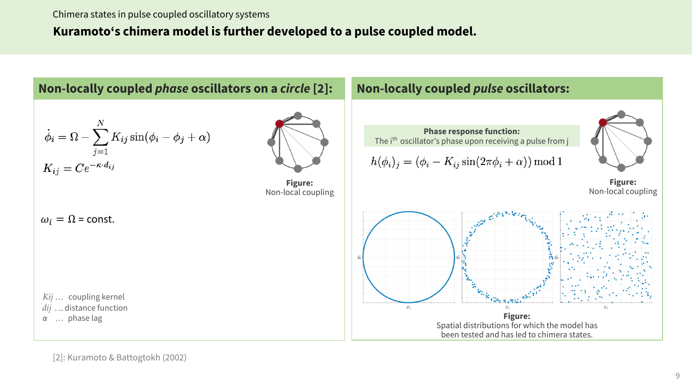## **Kuramoto's chimera model is further developed to a pulse coupled model.**



[2]: Kuramoto & Battogtokh (2002)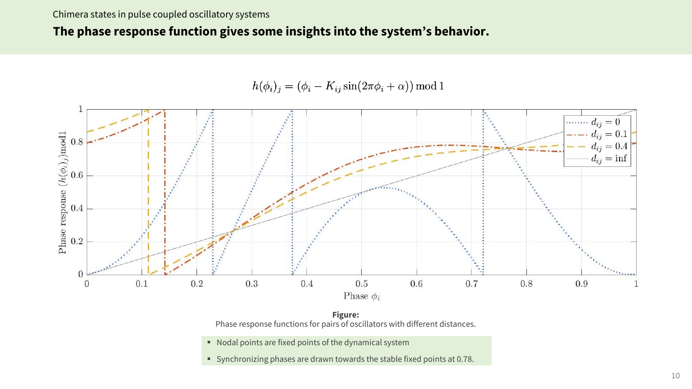### **The phase response function gives some insights into the system's behavior.**

 $h(\phi_i)_j = (\phi_i - K_{ij} \sin(2\pi \phi_i + \alpha)) \bmod 1$ 



**Figure:** Phase response functions for pairs of oscillators with different distances.

- Nodal points are fixed points of the dynamical system
- § Synchronizing phases are drawn towards the stable fixed points at 0.78.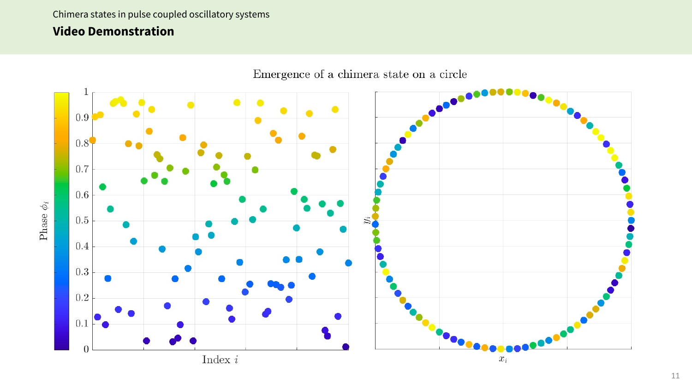### Chimera states in pulse coupled oscillatory systems

## **Video Demonstration**

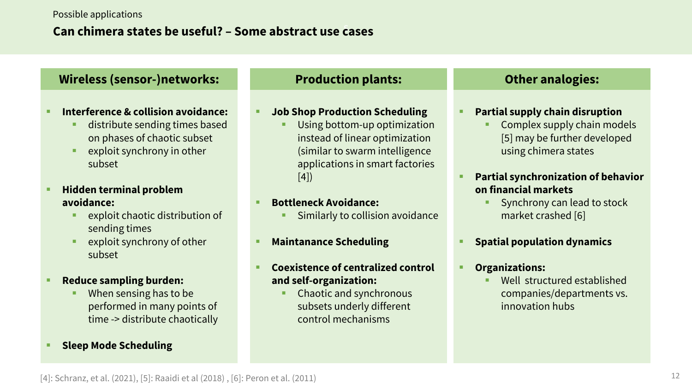## s **Can chimera states be useful? – Some abstract use cases**

### **Wireless (sensor-)networks:**

- § **Interference & collision avoidance:**
	- distribute sending times based on phases of chaotic subset
	- exploit synchrony in other subset
- § **Hidden terminal problem avoidance:**
	- exploit chaotic distribution of sending times
	- exploit synchrony of other subset
- § **Reduce sampling burden:**
	- When sensing has to be performed in many points of time -> distribute chaotically
- § **Sleep Mode Scheduling**

### **Production plants:**

### § **Job Shop Production Scheduling**

Using bottom-up optimization instead of linear optimization (similar to swarm intelligence applications in smart factories [4])

#### § **Bottleneck Avoidance:**

- § Similarly to collision avoidance
- § **Maintanance Scheduling**

### § **Coexistence of centralized control and self-organization:**

§ Chaotic and synchronous subsets underly different control mechanisms

### **Other analogies:**

### § **Partial supply chain disruption**

§ Complex supply chain models [5] may be further developed using chimera states

### § **Partial synchronization of behavior on financial markets**

§ Synchrony can lead to stock market crashed [6]

### § **Spatial population dynamics**

### § **Organizations:**

Well structured established companies/departments vs. innovation hubs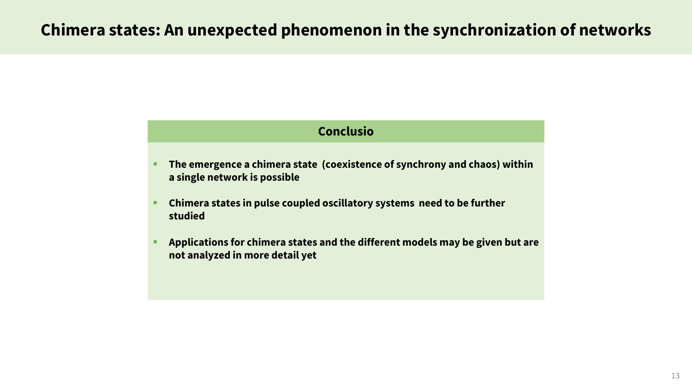### **Conclusio**

- The emergence a chimera state (coexistence of synchrony and chaos) within **a single network is possible**
- Chimera states in pulse coupled oscillatory systems need to be further **studied**
- § **Applications for chimera states and the different models may be given but are not analyzed in more detail yet**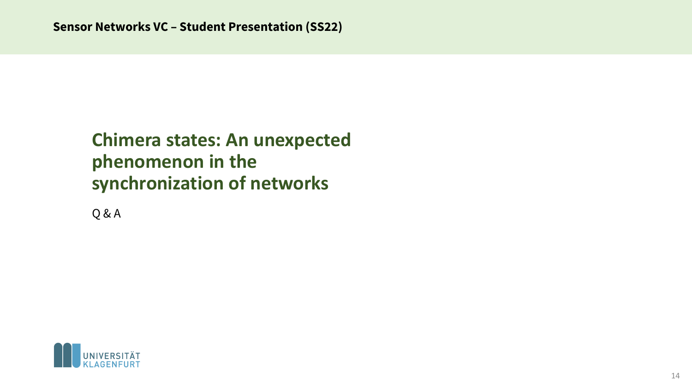# **Chimera states: An unexpected phenomenon in the synchronization of networks**

Q & A